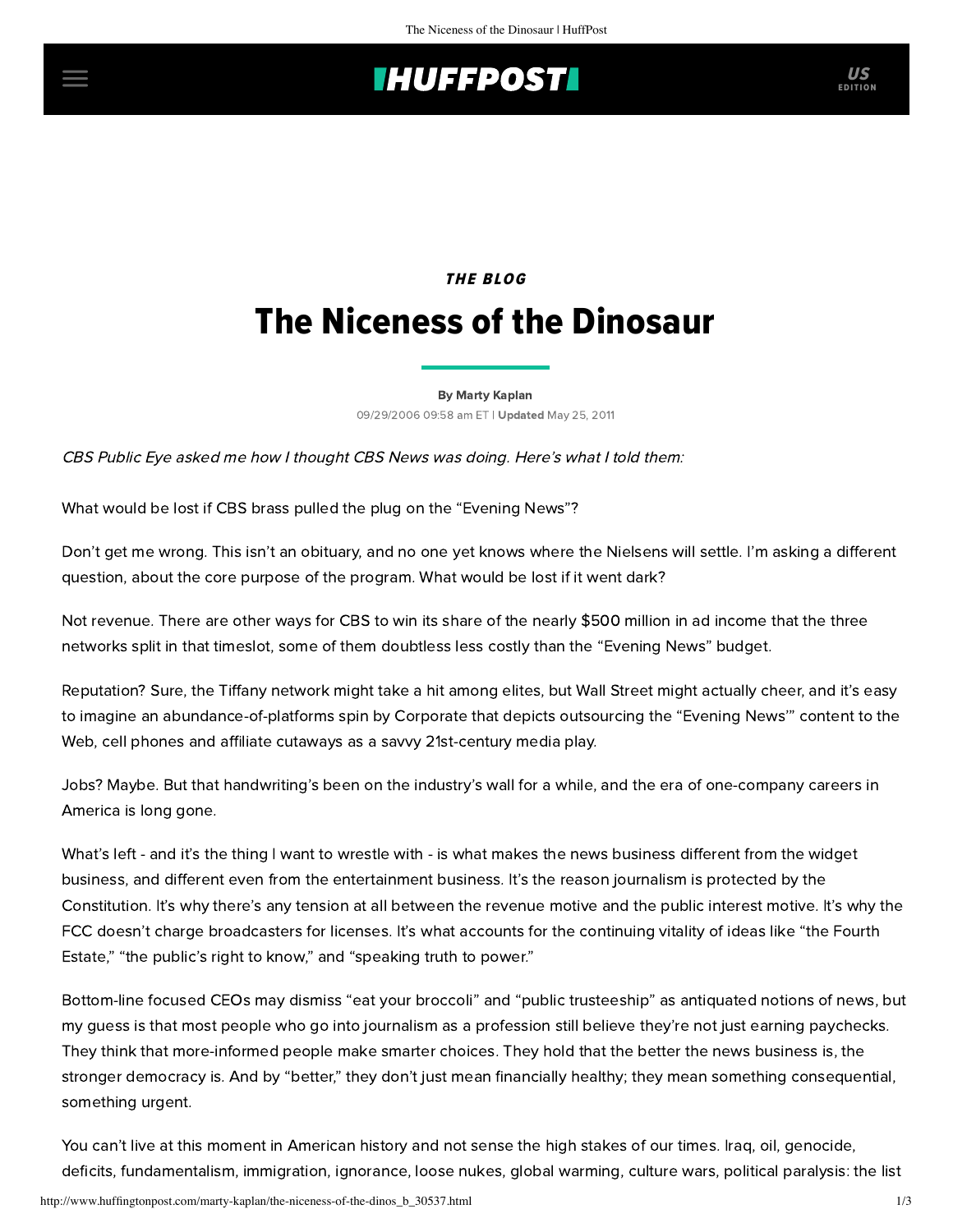# **INUFFPOSTI** US

# **THE BLOG** The Niceness of the Dinosaur

[By Marty Kaplan](http://www.huffingtonpost.com/author/marty-kaplan)

09/29/2006 09:58 am ET | Updated May 25, 2011

CBS [Public](http://www.cbsnews.com/blogs/2006/09/29/publiceye/entry2052023.shtml) Eye asked me how I thought CBS News was doing. Here's what I told them:

What would be lost if CBS brass pulled the plug on the "Evening News"?

Don't get me wrong. This isn't an obituary, and no one yet knows where the Nielsens will settle. I'm asking a different question, about the core purpose of the program. What would be lost if it went dark?

Not revenue. There are other ways for CBS to win its share of the nearly \$500 million in ad income that the three networks split in that timeslot, some of them doubtless less costly than the "Evening News" budget.

Reputation? Sure, the Tiffany network might take a hit among elites, but Wall Street might actually cheer, and it's easy to imagine an abundance-of-platforms spin by Corporate that depicts outsourcing the "Evening News'" content to the Web, cell phones and affiliate cutaways as a savvy 21st-century media play.

Jobs? Maybe. But that handwriting's been on the industry's wall for a while, and the era of one-company careers in America is long gone.

What's left - and it's the thing I want to wrestle with - is what makes the news business different from the widget business, and different even from the entertainment business. It's the reason journalism is protected by the Constitution. It's why there's any tension at all between the revenue motive and the public interest motive. It's why the FCC doesn't charge broadcasters for licenses. It's what accounts for the continuing vitality of ideas like "the Fourth Estate," "the public's right to know," and "speaking truth to power."

Bottom-line focused CEOs may dismiss "eat your broccoli" and "public trusteeship" as antiquated notions of news, but my guess is that most people who go into journalism as a profession still believe they're not just earning paychecks. They think that more-informed people make smarter choices. They hold that the better the news business is, the stronger democracy is. And by "better," they don't just mean financially healthy; they mean something consequential, something urgent.

You can't live at this moment in American history and not sense the high stakes of our times. Iraq, oil, genocide, deficits, fundamentalism, immigration, ignorance, loose nukes, global warming, culture wars, political paralysis: the list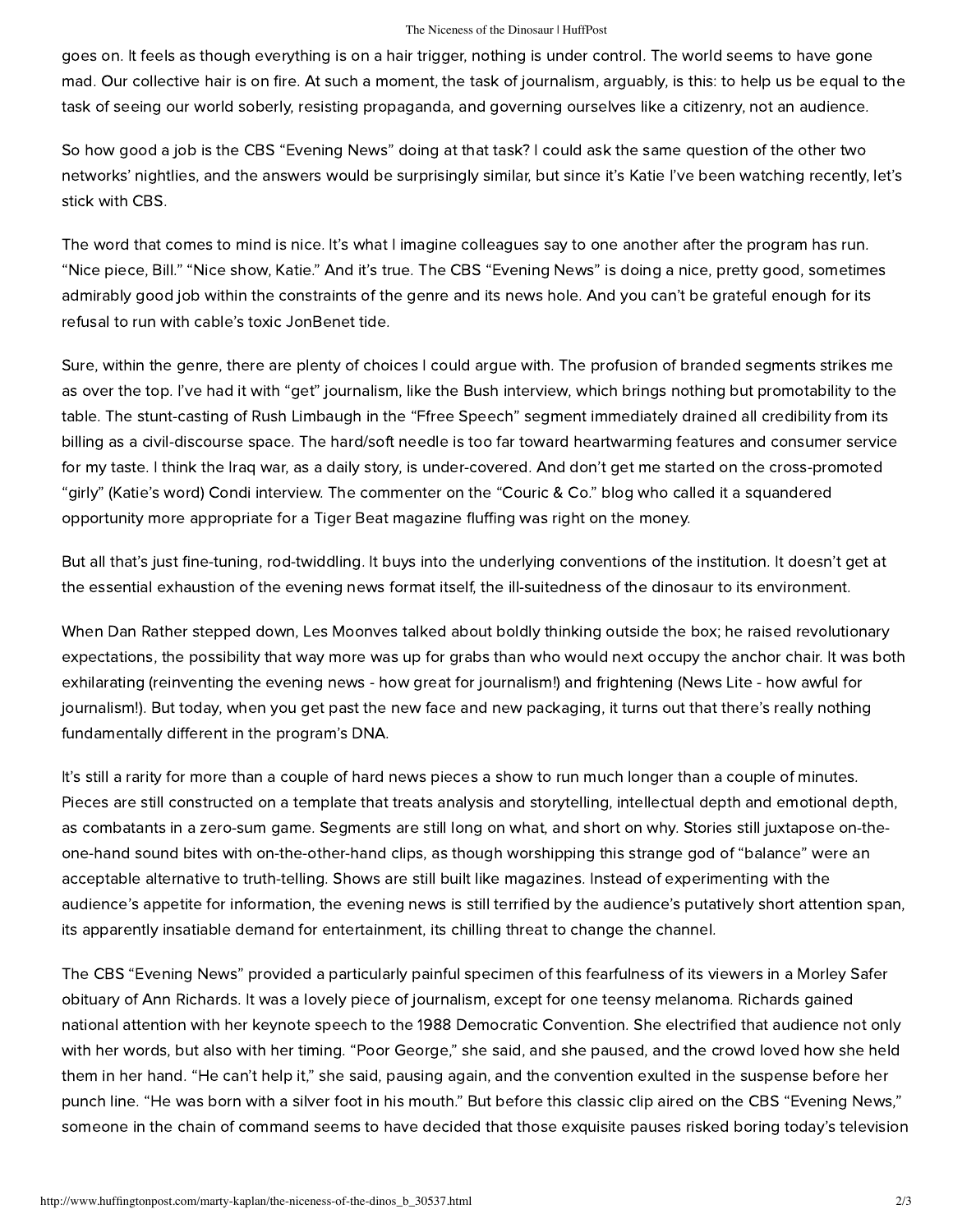### The Niceness of the Dinosaur | HuffPost

goes on. It feels as though everything is on a hair trigger, nothing is under control. The world seems to have gone mad. Our collective hair is on fire. At such a moment, the task of journalism, arguably, is this: to help us be equal to the task of seeing our world soberly, resisting propaganda, and governing ourselves like a citizenry, not an audience.

So how good a job is the CBS "Evening News" doing at that task? I could ask the same question of the other two networks' nightlies, and the answers would be surprisingly similar, but since it's Katie I've been watching recently, let's stick with CBS.

The word that comes to mind is nice. It's what I imagine colleagues say to one another after the program has run. "Nice piece, Bill." "Nice show, Katie." And it's true. The CBS "Evening News" is doing a nice, pretty good, sometimes admirably good job within the constraints of the genre and its news hole. And you can't be grateful enough for its refusal to run with cable's toxic JonBenet tide.

Sure, within the genre, there are plenty of choices I could argue with. The profusion of branded segments strikes me as over the top. I've had it with "get" journalism, like the Bush interview, which brings nothing but promotability to the table. The stunt-casting of Rush Limbaugh in the "Ffree Speech" segment immediately drained all credibility from its billing as a civil-discourse space. The hard/soft needle is too far toward heartwarming features and consumer service for my taste. I think the Iraq war, as a daily story, is under-covered. And don't get me started on the cross-promoted "girly" (Katie's word) Condi interview. The commenter on the "Couric & Co." blog who called it a squandered opportunity more appropriate for a Tiger Beat magazine fluffing was right on the money.

But all that's just fine-tuning, rod-twiddling. It buys into the underlying conventions of the institution. It doesn't get at the essential exhaustion of the evening news format itself, the ill-suitedness of the dinosaur to its environment.

When Dan Rather stepped down, Les Moonves talked about boldly thinking outside the box; he raised revolutionary expectations, the possibility that way more was up for grabs than who would next occupy the anchor chair. It was both exhilarating (reinventing the evening news - how great for journalism!) and frightening (News Lite - how awful for journalism!). But today, when you get past the new face and new packaging, it turns out that there's really nothing fundamentally different in the program's DNA.

It's still a rarity for more than a couple of hard news pieces a show to run much longer than a couple of minutes. Pieces are still constructed on a template that treats analysis and storytelling, intellectual depth and emotional depth, as combatants in a zero-sum game. Segments are still long on what, and short on why. Stories still juxtapose on-theone-hand sound bites with on-the-other-hand clips, as though worshipping this strange god of "balance" were an acceptable alternative to truth-telling. Shows are still built like magazines. Instead of experimenting with the audience's appetite for information, the evening news is still terrified by the audience's putatively short attention span, its apparently insatiable demand for entertainment, its chilling threat to change the channel.

The CBS "Evening News" provided a particularly painful specimen of this fearfulness of its viewers in a Morley Safer obituary of Ann Richards. It was a lovely piece of journalism, except for one teensy melanoma. Richards gained national attention with her keynote speech to the 1988 Democratic Convention. She electrified that audience not only with her words, but also with her timing. "Poor George," she said, and she paused, and the crowd loved how she held them in her hand. "He can't help it," she said, pausing again, and the convention exulted in the suspense before her punch line. "He was born with a silver foot in his mouth." But before this classic clip aired on the CBS "Evening News," someone in the chain of command seems to have decided that those exquisite pauses risked boring today's television